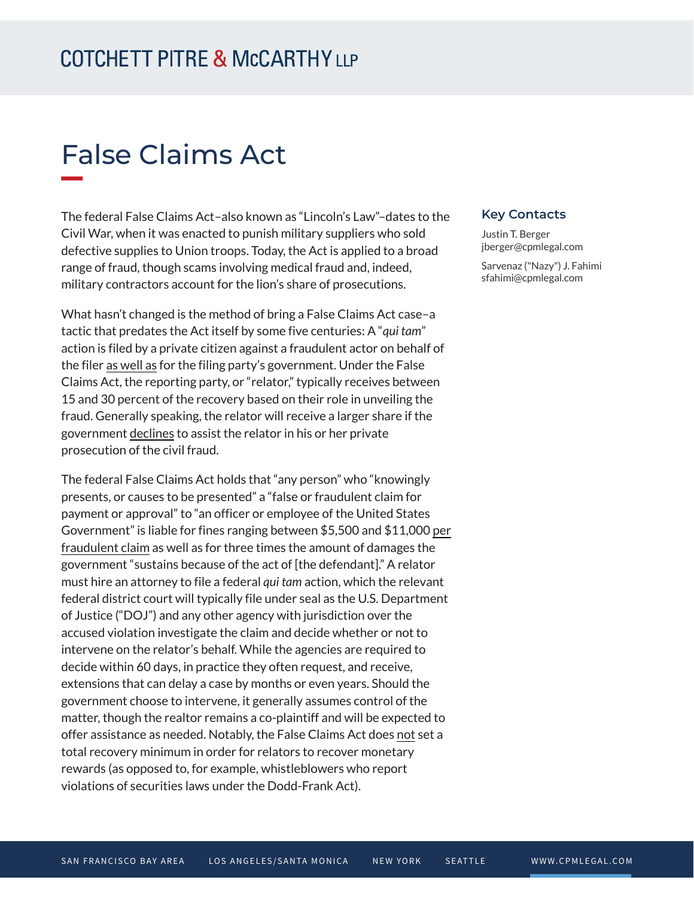## **COTCHETT PITRE & McCARTHY LLP**

# False Claims Act

The federal False Claims Act–also known as "Lincoln's Law"–dates to the Civil War, when it was enacted to punish military suppliers who sold defective supplies to Union troops. Today, the Act is applied to a broad range of fraud, though scams involving medical fraud and, indeed, military contractors account for the lion's share of prosecutions.

What hasn't changed is the method of bring a False Claims Act case–a tactic that predates the Act itself by some five centuries: A "*qui tam*" action is filed by a private citizen against a fraudulent actor on behalf of the filer as well as for the filing party's government. Under the False Claims Act, the reporting party, or "relator," typically receives between 15 and 30 percent of the recovery based on their role in unveiling the fraud. Generally speaking, the relator will receive a larger share if the government declines to assist the relator in his or her private prosecution of the civil fraud.

The federal False Claims Act holds that "any person" who "knowingly presents, or causes to be presented" a "false or fraudulent claim for payment or approval" to "an officer or employee of the United States Government" is liable for fines ranging between \$5,500 and \$11,000 per fraudulent claim as well as for three times the amount of damages the government "sustains because of the act of [the defendant]." A relator must hire an attorney to file a federal *qui tam* action, which the relevant federal district court will typically file under seal as the U.S. Department of Justice ("DOJ") and any other agency with jurisdiction over the accused violation investigate the claim and decide whether or not to intervene on the relator's behalf. While the agencies are required to decide within 60 days, in practice they often request, and receive, extensions that can delay a case by months or even years. Should the government choose to intervene, it generally assumes control of the matter, though the realtor remains a co-plaintiff and will be expected to offer assistance as needed. Notably, the False Claims Act does not set a total recovery minimum in order for relators to recover monetary rewards (as opposed to, for example, whistleblowers who report violations of securities laws under the Dodd-Frank Act).

#### **Key Contacts**

Justin T. Berger jberger@cpmlegal.com

Sarvenaz ("Nazy") J. Fahimi sfahimi@cpmlegal.com